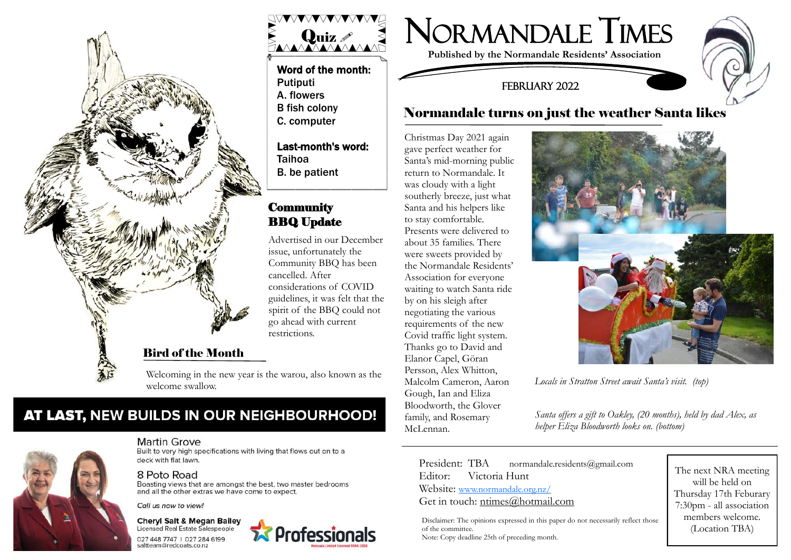



# AT LAST, NEW BUILDS IN OUR NEIGHBOURHOOD!



### Martin Grove

Built to very high specifications with living that flows out on to a deck with flat lawn.

### 8 Poto Road

Boasting views that are amongst the best, two master bedrooms and all the other extras we have come to expect.

Call us now to view!

#### **Cheryl Salt & Megan Bailey Licensed Real Estate Salespeople**

027 448 7747 | 027 284 6199 saltteam@redcoats.co.nz



### Word of the month: Putiputi A. flowers B fish colony C. computer

Last-month's word: Taihoa B. be patient

## **Community** BBQ Update

Advertised in our December issue, unfortunately the Community BBQ has been cancelled. After considerations of COVID guidelines, it was felt that the spirit of the BBQ could not go ahead with current restrictions.

Professionals

# NORmANDALE TIMES

**Published by the Normandale Residents' Association**

### FEBRUARY 2022

# Normandale turns on just the weather Santa likes

Christmas Day 2021 again gave perfect weather for Santa's mid-morning public return to Normandale. It was cloudy with a light southerly breeze, just what Santa and his helpers like to stay comfortable. Presents were delivered to about 35 families. There were sweets provided by the Normandale Residents' Association for everyone waiting to watch Santa ride by on his sleigh after negotiating the various requirements of the new Covid traffic light system. Thanks go to David and Elanor Capel, Göran Persson, Alex Whitton, Malcolm Cameron, Aaron Gough, Ian and Eliza Bloodworth, the Glover family, and Rosemary McLennan.



*Santa offers a gift to Oakley, (20 months), held by dad Alex, as helper Eliza Bloodworth looks on. (bottom)*

President: TBA normandale.residents@gmail.com Editor: Victoria Hunt Website: [www.normandale.org.nz/](http://www.normandale.org.nz/) Get in touch: ntimes@hotmail.com

Disclaimer: The opinions expressed in this paper do not necessarily reflect those of the committee. Note: Copy deadline 25th of preceding month.

The next NRA meeting will be held on Thursday 17th Feburary 7:30pm - all association members welcome. (Location TBA)